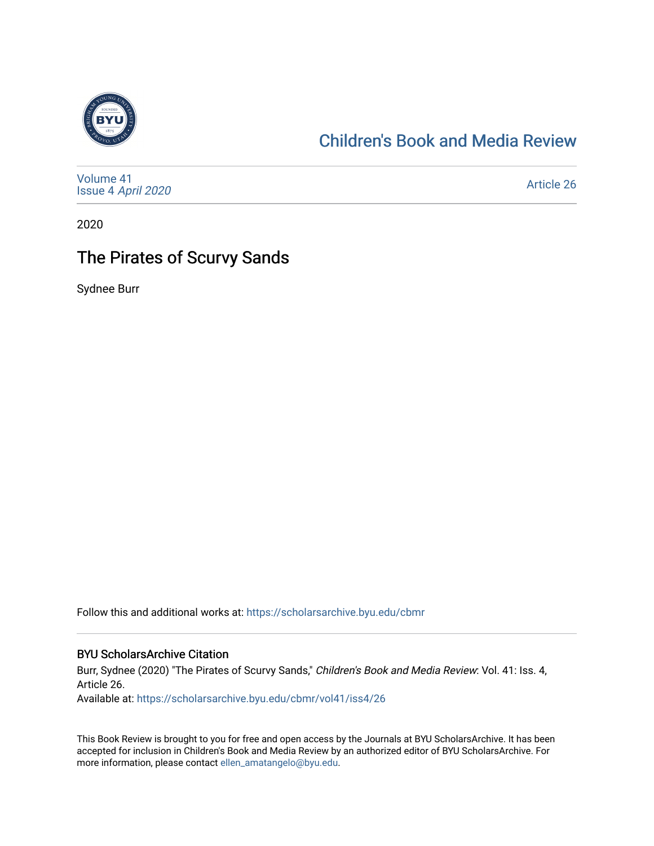

## [Children's Book and Media Review](https://scholarsarchive.byu.edu/cbmr)

| Volume 41<br>Issue 4 April 2020 | <b>Article 26</b> |
|---------------------------------|-------------------|
|---------------------------------|-------------------|

2020

## The Pirates of Scurvy Sands

Sydnee Burr

Follow this and additional works at: [https://scholarsarchive.byu.edu/cbmr](https://scholarsarchive.byu.edu/cbmr?utm_source=scholarsarchive.byu.edu%2Fcbmr%2Fvol41%2Fiss4%2F26&utm_medium=PDF&utm_campaign=PDFCoverPages) 

#### BYU ScholarsArchive Citation

Burr, Sydnee (2020) "The Pirates of Scurvy Sands," Children's Book and Media Review: Vol. 41: Iss. 4, Article 26. Available at: [https://scholarsarchive.byu.edu/cbmr/vol41/iss4/26](https://scholarsarchive.byu.edu/cbmr/vol41/iss4/26?utm_source=scholarsarchive.byu.edu%2Fcbmr%2Fvol41%2Fiss4%2F26&utm_medium=PDF&utm_campaign=PDFCoverPages)

This Book Review is brought to you for free and open access by the Journals at BYU ScholarsArchive. It has been accepted for inclusion in Children's Book and Media Review by an authorized editor of BYU ScholarsArchive. For more information, please contact [ellen\\_amatangelo@byu.edu.](mailto:ellen_amatangelo@byu.edu)